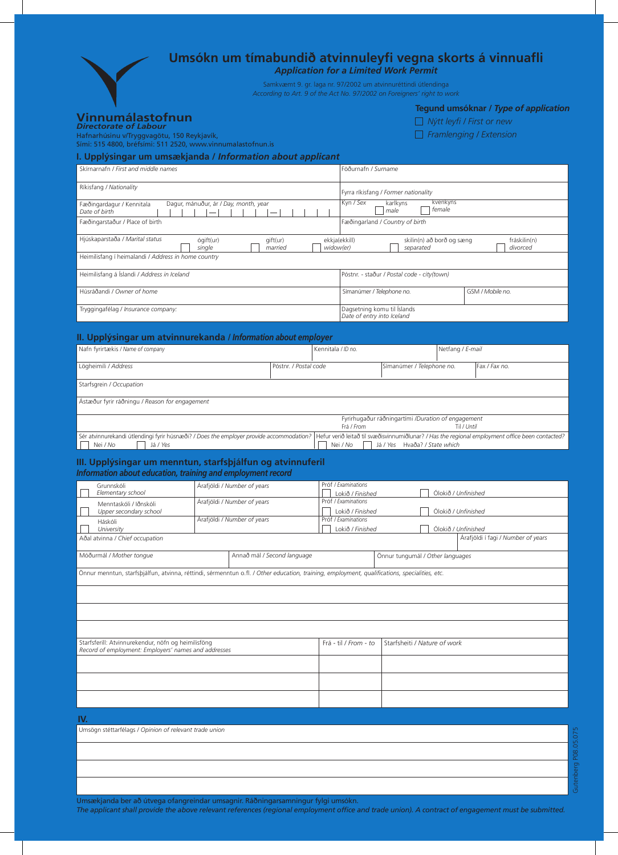|                                                                                                                                               |                     |                             |                       |                                                                                                                                | <b>Application for a Limited Work Permit</b>                                                                                              |                              | Umsókn um tímabundið atvinnuleyfi vegna skorts á vinnuafli                                           |  |  |
|-----------------------------------------------------------------------------------------------------------------------------------------------|---------------------|-----------------------------|-----------------------|--------------------------------------------------------------------------------------------------------------------------------|-------------------------------------------------------------------------------------------------------------------------------------------|------------------------------|------------------------------------------------------------------------------------------------------|--|--|
|                                                                                                                                               |                     |                             |                       |                                                                                                                                | Samkvæmt 9. gr. laga nr. 97/2002 um atvinnuréttindi útlendinga<br>According to Art. 9 of the Act No. 97/2002 on Foreigners' right to work |                              |                                                                                                      |  |  |
| Vinnumálastofnun<br>Directorate of Labour<br>Hafnarhúsinu v/Tryggvagötu, 150 Reykjavík,                                                       |                     |                             |                       |                                                                                                                                |                                                                                                                                           |                              | Tegund umsóknar / Type of application<br>$\Box$ Nýtt leyfi / First or new<br>Framlenging / Extension |  |  |
| Sími: 515 4800, bréfsími: 511 2520, www.vinnumalastofnun.is                                                                                   |                     |                             |                       |                                                                                                                                |                                                                                                                                           |                              |                                                                                                      |  |  |
| I. Upplýsingar um umsækjanda / Information about applicant<br>Skírnarnafn / First and middle names                                            |                     |                             |                       | Föðurnafn / Surname                                                                                                            |                                                                                                                                           |                              |                                                                                                      |  |  |
| Ríkisfang / Nationality                                                                                                                       |                     |                             |                       |                                                                                                                                |                                                                                                                                           |                              |                                                                                                      |  |  |
| Dagur, mánuður, ár / Day, month, year<br>Fæðingardagur / Kennitala<br>Date of birth<br>Fæðingarstaður / Place of birth                        |                     |                             |                       | Fyrra ríkisfang / Former nationality<br>Kyn / Sex<br>kvenkyns<br>karlkyns<br>female<br>male<br>Fæðingarland / Country of birth |                                                                                                                                           |                              |                                                                                                      |  |  |
| Hjúskaparstaða / Marital status<br>Heimilisfang í heimalandi / Address in home country                                                        | ógift(ur)<br>single | gift(ur)<br>married         |                       | ekkja(ekkill)<br>widow(er)                                                                                                     | skilin(n) að borð og sæng<br>separated                                                                                                    |                              | fráskilin(n)<br>divorced                                                                             |  |  |
| Heimilisfang á Íslandi / Address in Iceland                                                                                                   |                     |                             |                       |                                                                                                                                | Póstnr. - staður / Postal code - city(town)                                                                                               |                              |                                                                                                      |  |  |
| Húsráðandi / Owner of home                                                                                                                    |                     |                             |                       |                                                                                                                                | Símanúmer / Telephone no.                                                                                                                 |                              | GSM / Mobile no.                                                                                     |  |  |
| Tryggingafélag / Insurance company:                                                                                                           |                     |                             |                       |                                                                                                                                | Dagsetning komu til Íslands<br>Date of entry into Iceland                                                                                 |                              |                                                                                                      |  |  |
| II. Upplýsingar um atvinnurekanda / Information about employer                                                                                |                     |                             |                       |                                                                                                                                |                                                                                                                                           |                              |                                                                                                      |  |  |
| Nafn fyrirtækis / Name of company                                                                                                             |                     |                             | Kennitala / ID no.    |                                                                                                                                |                                                                                                                                           | Netfang / E-mail             |                                                                                                      |  |  |
| Lögheimili / Address                                                                                                                          |                     |                             | Póstnr. / Postal code |                                                                                                                                | Símanúmer / Telephone no.                                                                                                                 |                              | Fax / Fax no.                                                                                        |  |  |
| Starfsgrein / Occupation                                                                                                                      |                     |                             |                       |                                                                                                                                |                                                                                                                                           |                              |                                                                                                      |  |  |
| Ástæður fyrir ráðningu / Reason for engagement                                                                                                |                     |                             |                       |                                                                                                                                |                                                                                                                                           |                              |                                                                                                      |  |  |
|                                                                                                                                               |                     |                             |                       | Frá / From                                                                                                                     | Fyrirhugaður ráðningartími /Duration of engagement                                                                                        |                              | Til / Until                                                                                          |  |  |
| Sér atvinnurekandi útlendingi fyrir húsnæði? / Does the employer provide accommodation?<br>Já / Yes                                           |                     |                             |                       |                                                                                                                                |                                                                                                                                           |                              | Hefur verið leitað til svæðisvinnumiðlunar? / Has the regional employment office been contacted?     |  |  |
| Nei / No<br>III. Upplýsingar um menntun, starfsþjálfun og atvinnuferil                                                                        |                     |                             |                       | Nei / No                                                                                                                       | Já / Yes Hvaða? / State which                                                                                                             |                              |                                                                                                      |  |  |
| Information about education, training and employment record                                                                                   |                     |                             |                       |                                                                                                                                |                                                                                                                                           |                              |                                                                                                      |  |  |
| Grunnskóli<br>Elementary school                                                                                                               |                     | Arafjöldi / Number of years |                       | Próf / Examinations<br>Ólokið / Unfinished<br>Lokið / Finished                                                                 |                                                                                                                                           |                              |                                                                                                      |  |  |
| Menntaskóli / Iðnskóli<br>Upper secondary school                                                                                              |                     | Árafjöldi / Number of years |                       |                                                                                                                                | Próf / Examinations<br>Lokið / Finished<br>Ólokið / Unfinished                                                                            |                              |                                                                                                      |  |  |
| Háskóli<br>University                                                                                                                         |                     | Árafjöldi / Number of years |                       |                                                                                                                                | Próf / Examinations<br>Lokið / Finished<br>Ólokið / Unfinished                                                                            |                              |                                                                                                      |  |  |
| Adal atvinna / Chief occupation                                                                                                               |                     |                             |                       | Árafjöldi í fagi / Number of years                                                                                             |                                                                                                                                           |                              |                                                                                                      |  |  |
| Móðurmál / Mother tongue<br>Annað mál / Second language                                                                                       |                     |                             |                       | Önnur tungumál / Other languages                                                                                               |                                                                                                                                           |                              |                                                                                                      |  |  |
| Önnur menntun, starfsþjálfun, atvinna, réttindi, sérmenntun o.fl. / Other education, training, employment, qualifications, specialities, etc. |                     |                             |                       |                                                                                                                                |                                                                                                                                           |                              |                                                                                                      |  |  |
|                                                                                                                                               |                     |                             |                       |                                                                                                                                |                                                                                                                                           |                              |                                                                                                      |  |  |
|                                                                                                                                               |                     |                             |                       |                                                                                                                                |                                                                                                                                           |                              |                                                                                                      |  |  |
|                                                                                                                                               |                     |                             |                       |                                                                                                                                |                                                                                                                                           |                              |                                                                                                      |  |  |
| Starfsferill: Atvinnurekendur, nöfn og heimilisföng<br>Record of employment: Employers' names and addresses                                   |                     |                             |                       | Frá - til / From - to                                                                                                          |                                                                                                                                           | Starfsheiti / Nature of work |                                                                                                      |  |  |
|                                                                                                                                               |                     |                             |                       |                                                                                                                                |                                                                                                                                           |                              |                                                                                                      |  |  |
|                                                                                                                                               |                     |                             |                       |                                                                                                                                |                                                                                                                                           |                              |                                                                                                      |  |  |
| IV.                                                                                                                                           |                     |                             |                       |                                                                                                                                |                                                                                                                                           |                              |                                                                                                      |  |  |
| Umsögn stéttarfélags / Opinion of relevant trade union                                                                                        |                     |                             |                       |                                                                                                                                |                                                                                                                                           |                              |                                                                                                      |  |  |
|                                                                                                                                               |                     |                             |                       |                                                                                                                                |                                                                                                                                           |                              |                                                                                                      |  |  |
|                                                                                                                                               |                     |                             |                       |                                                                                                                                |                                                                                                                                           |                              |                                                                                                      |  |  |
|                                                                                                                                               |                     |                             |                       |                                                                                                                                |                                                                                                                                           |                              |                                                                                                      |  |  |

Umsækjanda ber að útvega ofangreindar umsagnir. Ráðningarsamningur fylgi umsókn.

*The applicant shall provide the above relevant references (regional employment office and trade union). A contract of engagement must be submitted.*